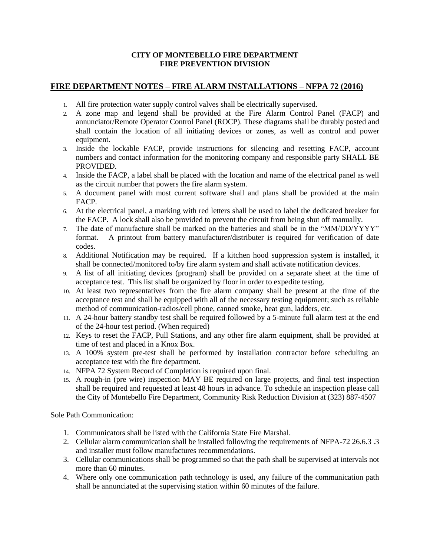## **CITY OF MONTEBELLO FIRE DEPARTMENT FIRE PREVENTION DIVISION**

## **FIRE DEPARTMENT NOTES – FIRE ALARM INSTALLATIONS – NFPA 72 (2016)**

- 1. All fire protection water supply control valves shall be electrically supervised.
- 2. A zone map and legend shall be provided at the Fire Alarm Control Panel (FACP) and annunciator/Remote Operator Control Panel (ROCP). These diagrams shall be durably posted and shall contain the location of all initiating devices or zones, as well as control and power equipment.
- 3. Inside the lockable FACP, provide instructions for silencing and resetting FACP, account numbers and contact information for the monitoring company and responsible party SHALL BE PROVIDED.
- 4. Inside the FACP, a label shall be placed with the location and name of the electrical panel as well as the circuit number that powers the fire alarm system.
- 5. A document panel with most current software shall and plans shall be provided at the main FACP.
- 6. At the electrical panel, a marking with red letters shall be used to label the dedicated breaker for the FACP. A lock shall also be provided to prevent the circuit from being shut off manually.
- 7. The date of manufacture shall be marked on the batteries and shall be in the "MM/DD/YYYY" format. A printout from battery manufacturer/distributer is required for verification of date codes.
- 8. Additional Notification may be required. If a kitchen hood suppression system is installed, it shall be connected/monitored to/by fire alarm system and shall activate notification devices.
- 9. A list of all initiating devices (program) shall be provided on a separate sheet at the time of acceptance test. This list shall be organized by floor in order to expedite testing.
- 10. At least two representatives from the fire alarm company shall be present at the time of the acceptance test and shall be equipped with all of the necessary testing equipment; such as reliable method of communication-radios/cell phone, canned smoke, heat gun, ladders, etc.
- 11. A 24-hour battery standby test shall be required followed by a 5-minute full alarm test at the end of the 24-hour test period. (When required)
- 12. Keys to reset the FACP, Pull Stations, and any other fire alarm equipment, shall be provided at time of test and placed in a Knox Box.
- 13. A 100% system pre-test shall be performed by installation contractor before scheduling an acceptance test with the fire department.
- 14. NFPA 72 System Record of Completion is required upon final.
- 15. A rough-in (pre wire) inspection MAY BE required on large projects, and final test inspection shall be required and requested at least 48 hours in advance. To schedule an inspection please call the City of Montebello Fire Department, Community Risk Reduction Division at (323) 887-4507

Sole Path Communication:

- 1. Communicators shall be listed with the California State Fire Marshal.
- 2. Cellular alarm communication shall be installed following the requirements of NFPA-72 26.6.3 .3 and installer must follow manufactures recommendations.
- 3. Cellular communications shall be programmed so that the path shall be supervised at intervals not more than 60 minutes.
- 4. Where only one communication path technology is used, any failure of the communication path shall be annunciated at the supervising station within 60 minutes of the failure.